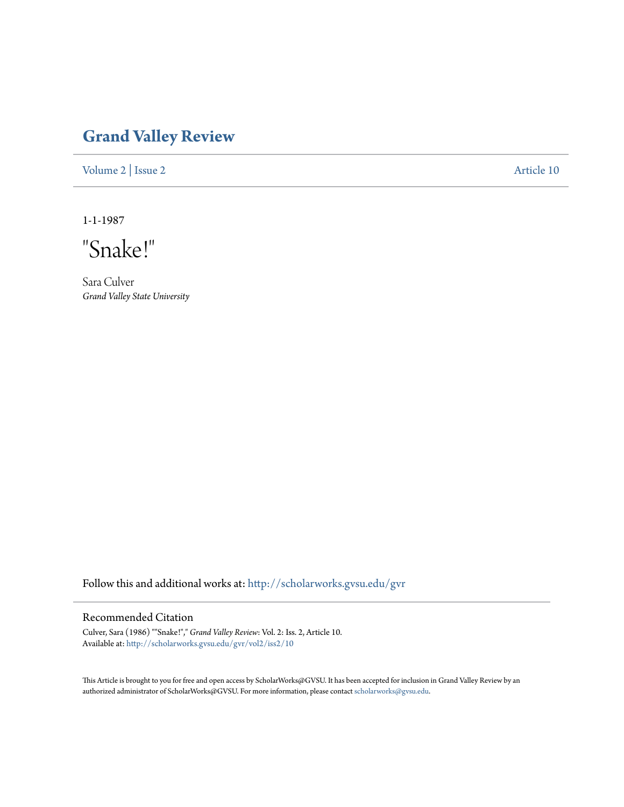## **[Grand Valley Review](http://scholarworks.gvsu.edu/gvr?utm_source=scholarworks.gvsu.edu%2Fgvr%2Fvol2%2Fiss2%2F10&utm_medium=PDF&utm_campaign=PDFCoverPages)**

[Volume 2](http://scholarworks.gvsu.edu/gvr/vol2?utm_source=scholarworks.gvsu.edu%2Fgvr%2Fvol2%2Fiss2%2F10&utm_medium=PDF&utm_campaign=PDFCoverPages) | [Issue 2](http://scholarworks.gvsu.edu/gvr/vol2/iss2?utm_source=scholarworks.gvsu.edu%2Fgvr%2Fvol2%2Fiss2%2F10&utm_medium=PDF&utm_campaign=PDFCoverPages) [Article 10](http://scholarworks.gvsu.edu/gvr/vol2/iss2/10?utm_source=scholarworks.gvsu.edu%2Fgvr%2Fvol2%2Fiss2%2F10&utm_medium=PDF&utm_campaign=PDFCoverPages)

1-1-1987

"Snake!"

Sara Culver *Grand Valley State University*

Follow this and additional works at: [http://scholarworks.gvsu.edu/gvr](http://scholarworks.gvsu.edu/gvr?utm_source=scholarworks.gvsu.edu%2Fgvr%2Fvol2%2Fiss2%2F10&utm_medium=PDF&utm_campaign=PDFCoverPages)

## Recommended Citation

Culver, Sara (1986) ""Snake!"," *Grand Valley Review*: Vol. 2: Iss. 2, Article 10. Available at: [http://scholarworks.gvsu.edu/gvr/vol2/iss2/10](http://scholarworks.gvsu.edu/gvr/vol2/iss2/10?utm_source=scholarworks.gvsu.edu%2Fgvr%2Fvol2%2Fiss2%2F10&utm_medium=PDF&utm_campaign=PDFCoverPages)

This Article is brought to you for free and open access by ScholarWorks@GVSU. It has been accepted for inclusion in Grand Valley Review by an authorized administrator of ScholarWorks@GVSU. For more information, please contact [scholarworks@gvsu.edu.](mailto:scholarworks@gvsu.edu)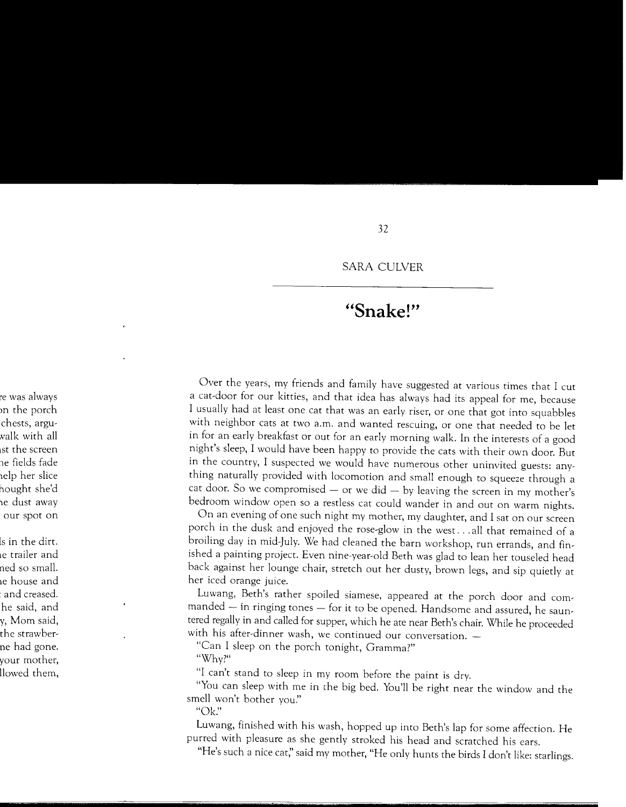## **HSnake!"**

Over the years, my friends and family have suggested at various times that I cut a cat-door for our kitties, and that idea has always had its appeal for me, because I usually had at least one cat that was an early riser, or one that got into squabbles with neighbor cats at two a.m. and wanted rescuing, or one that needed to be let in for an early breakfast or out for an early morning walk. In the interests of a good night's sleep, I would have been happy to provide the cats with their own door. But in the country, I suspected we would have numerous other uninvited guests: anything naturally provided with locomotion and small enough to squeeze through a cat door. So we compromised  $-$  or we did  $-$  by leaving the screen in my mother's bedroom window open so a restless cat could wander in and out on warm nights.

On an evening of one such night my mother, my daughter, and I sat on our screen porch in the dusk and enjoyed the rose-glow in the west ... all that remained of a broiling day in mid-July. We had cleaned the barn workshop, run errands, and finished a painting project. Even nine-year-old Beth was glad to lean her touseled head back against her lounge chair, stretch out her dusty, brown legs, and sip quietly at her iced orange juice.

Luwang, Beth's rather spoiled siamese, appeared at the porch door and commanded - in ringing tones - for it to be opened. Handsome and assured, he sauntered regally in and called for supper, which he ate near Beth's chair. While he proceeded with his after-dinner wash, we continued our conversation.

"Can I sleep on the porch tonight, Gramma?"

"Why?"

"I can't stand to sleep in my room before the paint is dry.

"You can sleep with me in the big bed. You'll be right near the window and the smell won't bother you."

"Ok!'

Luwang, finished with his wash, hopped up into Beth's lap for some affection. He purred with pleasure as she gently stroked his head and scratched his ears.

"He's such a nice cat;' said my mother, "He only hunts the birds I don't like: starlings.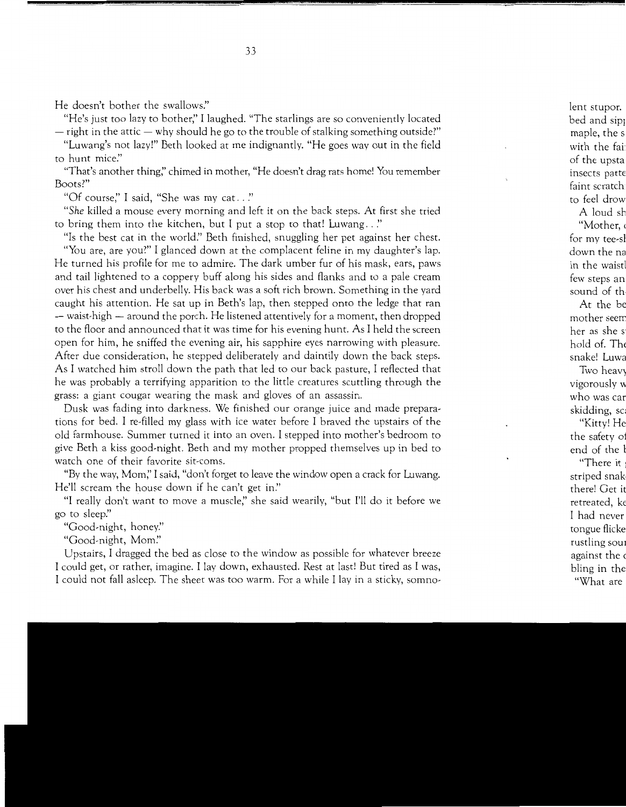He doesn't bother the swallows."

"He's just too lazy to bother;' I laughed. "The starlings are so conveniently located  $-$  right in the attic  $-$  why should he go to the trouble of stalking something outside?"

"Luwang's not lazy!" Beth looked at me indignantly. "He goes way out in the field to hunt mice:'

"That's another thing;' chimed in mother, "He doesn't drag rats home! You remember Boots?"

"Of course;' I said, "She was my cat .. *:•* 

*"She* killed a mouse every morning and left it on the back steps. At first she tried to bring them into the kitchen, but I put a stop to that! Luwang .. *:•* 

"Is the best cat in the world:' Beth finished, snuggling her pet against her chest.

"You are, are you?" I glanced down at the complacent feline in my daughter's lap. He turned his profile for me to admire. The dark umber fur of his mask, ears, paws and tail lightened to a coppery buff along his sides and flanks and to a pale cream over his chest and underbelly. His back was a soft rich brown. Something in the yard caught his attention. He sat up in Beth's lap, then stepped onto the ledge that ran - waist-high - around the porch. He listened attentively for a moment, then dropped to the floor and announced that it was time for his evening hunt. As I held the screen open for him, he sniffed the evening air, his sapphire eyes narrowing with pleasure. After due consideration, he stepped deliberately and daintily down the back steps. As I watched him stroll down the path that led to our back pasture, I reflected that he was probably a terrifying apparition to the little creatures scuttling through the grass: a giant cougar wearing the mask and gloves of an assassin.

Dusk was fading into darkness. We finished our orange juice and made preparations for bed. I re-filled my glass with ice water before I braved the upstairs of the old farmhouse. Summer turned it into an oven. I stepped into mother's bedroom to give Beth a kiss good-night. Beth and my mother propped themselves up in bed to watch one of their favorite sit-coms.

"By the way, Mom;' I said, "don't forget to leave the window open a crack for Luwang. He'll scream the house down if he can't get in."

"I really don't want to move a muscle;' she said wearily, "but I'll do it before we go to sleep:'

"Good-night, honey:'

"Good-night, *Mom:'* 

Upstairs, I dragged the bed as close to the window as possible for whatever breeze I could get, or rather, imagine. I lay down, exhausted. Rest at last! But tired as I was, I could not fall asleep. The sheet was too warm. For a while I lay in a sticky, somno-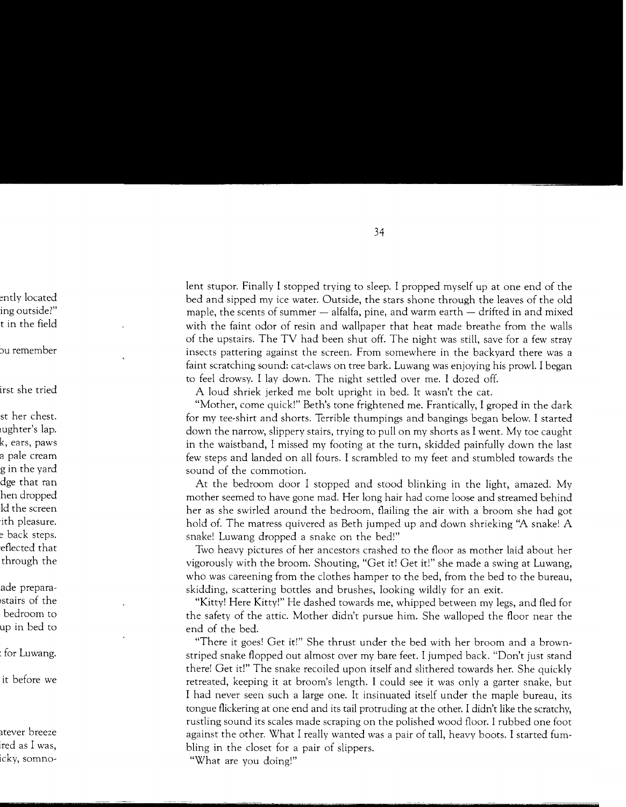lent stupor. Finally I stopped trying to sleep. I propped myself up at one end of the bed and sipped my ice water. Outside, the stars shone through the leaves of the old maple, the scents of summer  $-$  alfalfa, pine, and warm earth  $-$  drifted in and mixed with the faint odor of resin and wallpaper that heat made breathe from the walls of the upstairs. The TV had been shut off. The night was still, save for a few stray insects pattering against the screen. From somewhere in the backyard there was a faint scratching sound: cat-claws on tree bark. Luwang was enjoying his prowl. I began to feel drowsy. I lay down. The night settled over me. I dozed off.

A loud shriek jerked me bolt upright in bed. It wasn't the cat.

"Mother, come quick!" Beth's tone frightened me. Frantically, I groped in the dark for my tee-shirt and shorts. Terrible thumpings and bangings began below. I started down the narrow, slippery stairs, trying to pull on my shorts as I went. My toe caught in the waistband, I missed my footing at the turn, skidded painfully down the last few steps and landed on all fours. I scrambled to my feet and stumbled towards the sound of the commotion.

At the bedroom door I stopped and stood blinking in the light, amazed. My mother seemed to have gone mad. Her long hair had come loose and streamed behind her as she swirled around the bedroom, flailing the air with a broom she had got hold of. The matress quivered as Beth jumped up and down shrieking "A snake! A snake! Luwang dropped a snake on the bed!"

Two heavy pictures of her ancestors crashed to the floor as mother laid about her vigorously with the broom. Shouting, "Get it! Get it!" she made a swing at Luwang, who was careening from the clothes hamper to the bed, from the bed to the bureau, skidding, scattering bottles and brushes, looking wildly for an exit.

"Kitty! Here Kitty!" He dashed towards me, whipped between my legs, and fled for the safety of the attic. Mother didn't pursue him. She walloped the floor near the end of the bed.

"There it goes! Get it!" She thrust under the bed with her broom and a brownstriped snake flopped out almost over my bare feet. I jumped back. "Don't just stand there! Get it!" The snake recoiled upon itself and slithered towards her. She quickly retreated, keeping it at broom's length. I could see it was only a garter snake, but I had never seen such a large one. It insinuated itself under the maple bureau, its tongue flickering at one end and its tail protruding at the other. I didn't like the scratchy, rustling sound its scales made scraping on the polished wood floor. I rubbed one foot against the other. What I really wanted was a pair of tall, heavy boots. I started fumbling in the closet for a pair of slippers.

"What are you doing!"